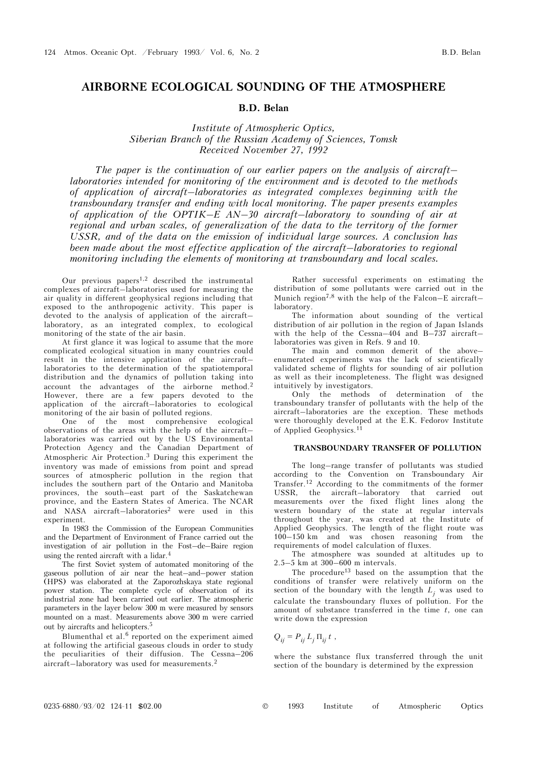# **AIRBORNE ECOLOGICAL SOUNDING OF THE ATMOSPHERE**

### **B.D. Belan**

*Institute of Atmospheric Optics, Siberian Branch of the Russian Academy of Sciences, Tomsk Received November 27, 1992* 

*The paper is the continuation of our earlier papers on the analysis of aircraft– laboratories intended for monitoring of the environment and is devoted to the methods of application of aircraft–laboratories as integrated complexes beginning with the transboundary transfer and ending with local monitoring. The paper presents examples of application of the OPTIK–E AN–30 aircraft–laboratory to sounding of air at regional and urban scales, of generalization of the data to the territory of the former USSR, and of the data on the emission of individual large sources. A conclusion has*  been made about the most effective application of the aircraft–laboratories to regional *monitoring including the elements of monitoring at transboundary and local scales.* 

Our previous papers $1,2$  described the instrumental complexes of aircraft–laboratories used for measuring the air quality in different geophysical regions including that exposed to the anthropogenic activity. This paper is devoted to the analysis of application of the aircraft– laboratory, as an integrated complex, to ecological monitoring of the state of the air basin.

At first glance it was logical to assume that the more complicated ecological situation in many countries could result in the intensive application of the aircraft– laboratories to the determination of the spatiotemporal distribution and the dynamics of pollution taking into account the advantages of the airborne method.<sup>2</sup> However, there are a few papers devoted to the application of the aircraft–laboratories to ecological monitoring of the air basin of polluted regions.

One of the most comprehensive ecological observations of the areas with the help of the aircraft– laboratories was carried out by the US Environmental Protection Agency and the Canadian Department of Atmospheric Air Protection.3 During this experiment the inventory was made of emissions from point and spread sources of atmospheric pollution in the region that includes the southern part of the Ontario and Manitoba provinces, the south–east part of the Saskatchewan province, and the Eastern States of America. The NCAR and NASA aircraft–laboratories<sup>2</sup> were used in this experiment.

In 1983 the Commission of the European Communities and the Department of Environment of France carried out the investigation of air pollution in the Fost–de–Baire region using the rented aircraft with a lidar.<sup>4</sup>

The first Soviet system of automated monitoring of the gaseous pollution of air near the heat–and–power station (HPS) was elaborated at the Zaporozhskaya state regional power station. The complete cycle of observation of its industrial zone had been carried out earlier. The atmospheric parameters in the layer below 300 m were measured by sensors mounted on a mast. Measurements above 300 m were carried out by aircrafts and helicopters.5

Blumenthal et al.<sup>6</sup> reported on the experiment aimed at following the artificial gaseous clouds in order to study the peculiarities of their diffusion. The Cessna–206 aircraft–laboratory was used for measurements.<sup>2</sup>

Rather successful experiments on estimating the distribution of some pollutants were carried out in the Munich region7,8 with the help of the Falcon–E aircraft– laboratory.

The information about sounding of the vertical distribution of air pollution in the region of Japan Islands with the help of the Cessna–404 and B–737 aircraft– laboratories was given in Refs. 9 and 10.

The main and common demerit of the above– enumerated experiments was the lack of scientifically validated scheme of flights for sounding of air pollution as well as their incompleteness. The flight was designed intuitively by investigators.

Only the methods of determination of the transboundary transfer of pollutants with the help of the aircraft–laboratories are the exception. These methods were thoroughly developed at the E.K. Fedorov Institute of Applied Geophysics.<sup>11</sup>

#### **TRANSBOUNDARY TRANSFER OF POLLUTION**

The long–range transfer of pollutants was studied according to the Convention on Transboundary Air Transfer.12 According to the commitments of the former USSR, the aircraft–laboratory that carried out measurements over the fixed flight lines along the western boundary of the state at regular intervals throughout the year, was created at the Institute of Applied Geophysics. The length of the flight route was 100–150 km and was chosen reasoning from the requirements of model calculation of fluxes.

The atmosphere was sounded at altitudes up to 2.5–5 km at 300–600 m intervals.

The procedure<sup>13</sup> based on the assumption that the conditions of transfer were relatively uniform on the section of the boundary with the length  $L_j$  was used to calculate the transboundary fluxes of pollution. For the amount of substance transferred in the time *t*, one can write down the expression

$$
Q_{ij} = P_{ij} L_j \Pi_{ij} t ,
$$

where the substance flux transferred through the unit section of the boundary is determined by the expression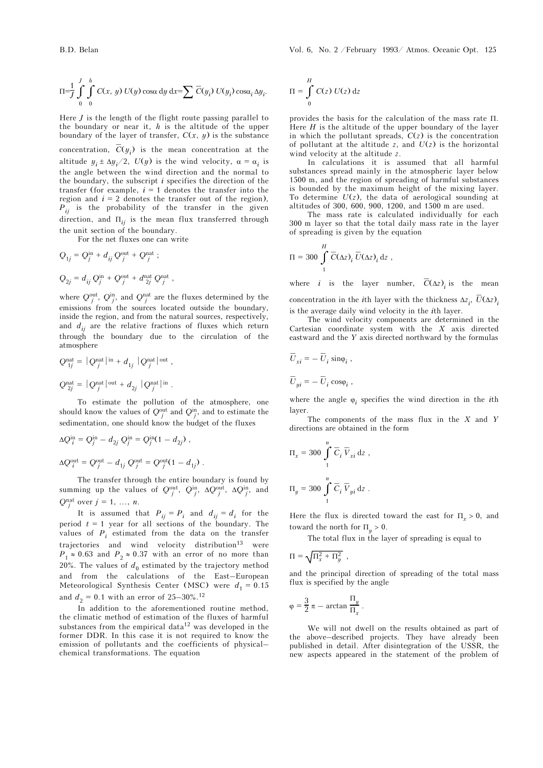$$
\Pi = \frac{1}{J} \int_{0}^{J} \int_{0}^{h} C(x, y) U(y) \cos \alpha \, dy \, dx = \sum_{i} \overline{C}(y_i) U(y_i) \cos \alpha_i \, \Delta y_i.
$$

Here *J* is the length of the flight route passing parallel to the boundary or near it, *h* is the altitude of the upper boundary of the layer of transfer,  $C(x, y)$  is the substance

concentration,  $\overline{C}(y_i)$  is the mean concentration at the altitude  $y_i \pm \Delta y_i/2$ ,  $U(y)$  is the wind velocity,  $\alpha = \alpha_i$  is the angle between the wind direction and the normal to the boundary, the subscript *i* specifies the direction of the transfer (for example,  $i = 1$  denotes the transfer into the region and  $i = 2$  denotes the transfer out of the region), *Pij* is the probability of the transfer in the given direction, and  $\Pi_{ij}$  is the mean flux transferred through the unit section of the boundary.

For the net fluxes one can write

$$
Q_{1j} = Q_j^{\text{in}} + d_{ij} Q_j^{\text{out}} + Q_j^{\text{nat}};
$$
  

$$
Q_{2j} = d_{ij} Q_j^{\text{in}} + Q_j^{\text{out}} + d_{2j}^{\text{nat}} Q_j^{\text{nat}} ,
$$

where  $Q_j^{\text{out}}$ ,  $Q_j^{\text{in}}$ , and  $Q_j^{\text{nat}}$  are the fluxes determined by the emissions from the sources located outside the boundary, inside the region, and from the natural sources, respectively, and  $d_{ii}$  are the relative fractions of fluxes which return through the boundary due to the circulation of the atmosphere

$$
Q_{1j}^{\text{nat}} = |Q_j^{\text{nat}}|^{\text{in}} + d_{1j} |Q_j^{\text{nat}}|^{\text{out}},
$$
  

$$
Q_{2j}^{\text{nat}} = |Q_j^{\text{nat}}|^{\text{out}} + d_{2j} |Q_j^{\text{nat}}|^{\text{in}}.
$$

To estimate the pollution of the atmosphere, one should know the values of  $Q_j^{\text{out}}$  and  $Q_j^{\text{in}}$ , and to estimate the sedimentation, one should know the budget of the fluxes

$$
\Delta Q_i^{\text{in}} = Q_j^{\text{in}} - d_{2j} Q_j^{\text{in}} = Q_j^{\text{in}} (1 - d_{2j}),
$$
  

$$
\Delta Q_i^{\text{out}} = Q_j^{\text{out}} - d_{1j} Q_j^{\text{out}} = Q_j^{\text{out}} (1 - d_{1j}).
$$

The transfer through the entire boundary is found by summing up the values of  $Q_j^{\text{out}}$ ,  $Q_j^{\text{in}}$ ,  $\Delta Q_j^{\text{out}}$ ,  $\Delta Q_j^{\text{in}}$ , and  $Q_j^{\text{nat}}$  over  $j = 1, ..., n$ .

It is assumed that  $P_{ij} = P_i$  and  $d_{ij} = d_i$  for the period  $t = 1$  year for all sections of the boundary. The values of  $P_i$  estimated from the data on the transfer trajectories and wind velocity distribution $13$  were  $P_1 \approx 0.63$  and  $P_2 \approx 0.37$  with an error of no more than 20%. The values of  $d_0$  estimated by the trajectory method and from the calculations of the East–European Meteorological Synthesis Center (MSC) were  $d_1 = 0.15$ and  $d_2 = 0.1$  with an error of  $25-30\%$ .<sup>12</sup>

In addition to the aforementioned routine method, the climatic method of estimation of the fluxes of harmful substances from the empirical data<sup>12</sup> was developed in the former DDR. In this case it is not required to know the emission of pollutants and the coefficients of physical– chemical transformations. The equation

$$
\Pi = \int_{0}^{H} C(z) U(z) dz
$$

provides the basis for the calculation of the mass rate Π. Here  $H$  is the altitude of the upper boundary of the layer in which the pollutant spreads,  $C(z)$  is the concentration of pollutant at the altitude  $z$ , and  $U(z)$  is the horizontal wind velocity at the altitude *z*.

In calculations it is assumed that all harmful substances spread mainly in the atmospheric layer below 1500 m, and the region of spreading of harmful substances is bounded by the maximum height of the mixing layer. To determine  $U(z)$ , the data of aerological sounding at altitudes of 300, 600, 900, 1200, and 1500 m are used.

The mass rate is calculated individually for each 300 m layer so that the total daily mass rate in the layer of spreading is given by the equation

$$
\Pi = 300 \int_{1}^{H} \overline{C}(\Delta z)_{i} \overline{U}(\Delta z)_{i} dz ,
$$

where *i* is the layer number,  $\overline{C}(\Delta z)_i$  is the mean concentration in the *i*th layer with the thickness  $\Delta z_i$ ,  $\overline{U}(\Delta z)$ <sub>*i*</sub>

is the average daily wind velocity in the *i*th layer. The wind velocity components are determined in the Cartesian coordinate system with the *X* axis directed eastward and the *Y* axis directed northward by the formulas

$$
\overline{U}_{xi} = -\ \overline{U}_i \sin \varphi_i ,
$$
  

$$
\overline{U}_{yi} = -\ \overline{U}_i \cos \varphi_i ,
$$

where the angle  $\varphi_i$  specifies the wind direction in the *i*th layer.

The components of the mass flux in the *X* and *Y* directions are obtained in the form

$$
\Pi_x = 300 \int_1^n \overline{C}_i \, \overline{V}_{xi} \, \mathrm{d}z ,
$$
  

$$
\Pi_y = 300 \int_1^n \overline{C}_i \, \overline{V}_{yi} \, \mathrm{d}z .
$$

Here the flux is directed toward the east for  $\Pi_r > 0$ , and toward the north for  $\Pi_u > 0$ .

The total flux in the layer of spreading is equal to

$$
\Pi = \sqrt{\Pi_x^2 + \Pi_y^2} ,
$$

and the principal direction of spreading of the total mass flux is specified by the angle

$$
\varphi = \frac{3}{2} \pi - \arctan \frac{\Pi_y}{\Pi_x}.
$$

We will not dwell on the results obtained as part of the above–described projects. They have already been published in detail. After disintegration of the USSR, the new aspects appeared in the statement of the problem of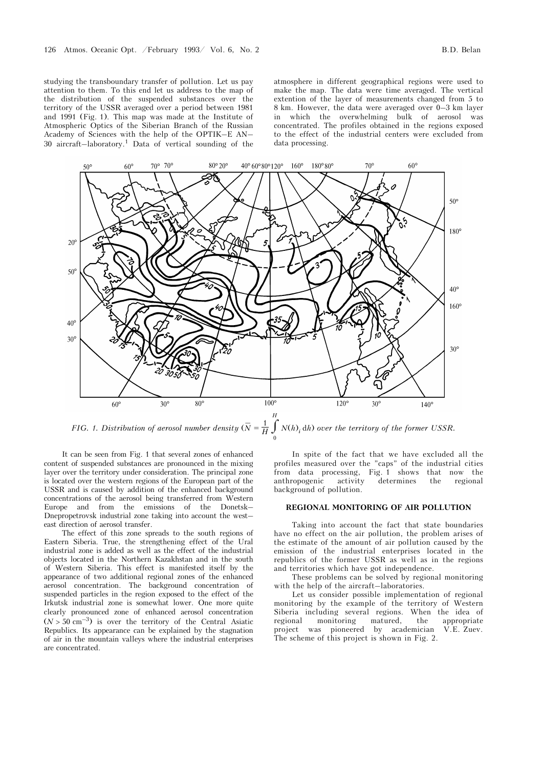studying the transboundary transfer of pollution. Let us pay attention to them. To this end let us address to the map of the distribution of the suspended substances over the territory of the USSR averaged over a period between 1981 and 1991 (Fig. 1). This map was made at the Institute of Atmospheric Optics of the Siberian Branch of the Russian Academy of Sciences with the help of the OPTIK–E AN– 30 aircraft–laboratory.1 Data of vertical sounding of the

atmosphere in different geographical regions were used to make the map. The data were time averaged. The vertical extention of the layer of measurements changed from 5 to 8 km. However, the data were averaged over 0–3 km layer in which the overwhelming bulk of aerosol was concentrated. The profiles obtained in the regions exposed to the effect of the industrial centers were excluded from data processing.



*FIG. 1. Distribution of aerosol number density*  $(\overline{N})$  $\overline{N} = \frac{1}{H} \int$ 0 *N*(*h*)*<sup>i</sup>* d*h*) *over the territory of the former USSR.* 

It can be seen from Fig. 1 that several zones of enhanced content of suspended substances are pronounced in the mixing layer over the territory under consideration. The principal zone is located over the western regions of the European part of the USSR and is caused by addition of the enhanced background concentrations of the aerosol being transferred from Western Europe and from the emissions of the Donetsk– Dnepropetrovsk industrial zone taking into account the west– east direction of aerosol transfer.

The effect of this zone spreads to the south regions of Eastern Siberia. True, the strengthening effect of the Ural industrial zone is added as well as the effect of the industrial objects located in the Northern Kazakhstan and in the south of Western Siberia. This effect is manifested itself by the appearance of two additional regional zones of the enhanced aerosol concentration. The background concentration of suspended particles in the region exposed to the effect of the Irkutsk industrial zone is somewhat lower. One more quite clearly pronounced zone of enhanced aerosol concentration  $(N > 50 \text{ cm}^{-3})$  is over the territory of the Central Asiatic Republics. Its appearance can be explained by the stagnation of air in the mountain valleys where the industrial enterprises are concentrated.

In spite of the fact that we have excluded all the profiles measured over the "caps" of the industrial cities from data processing, Fig. 1 shows that now the anthropogenic activity determines the regional anthropogenic activity determines the regional background of pollution.

#### **REGIONAL MONITORING OF AIR POLLUTION**

Taking into account the fact that state boundaries have no effect on the air pollution, the problem arises of the estimate of the amount of air pollution caused by the emission of the industrial enterprises located in the republics of the former USSR as well as in the regions and territories which have got independence.

These problems can be solved by regional monitoring with the help of the aircraft–laboratories.

Let us consider possible implementation of regional monitoring by the example of the territory of Western Siberia including several regions. When the idea of regional monitoring matured, the appropriate project was pioneered by academician V.E. Zuev. The scheme of this project is shown in Fig. 2.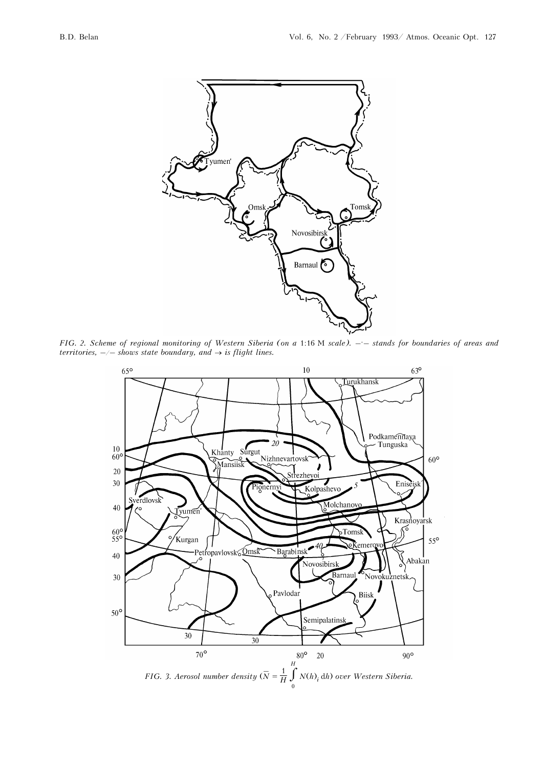

FIG. 2. Scheme of regional monitoring of Western Siberia (on a 1:16 M scale).  $-$  - stands for boundaries of areas and *territories,*  $-\prime$  *– shows state boundary, and*  $\rightarrow$  *is flight lines.* 

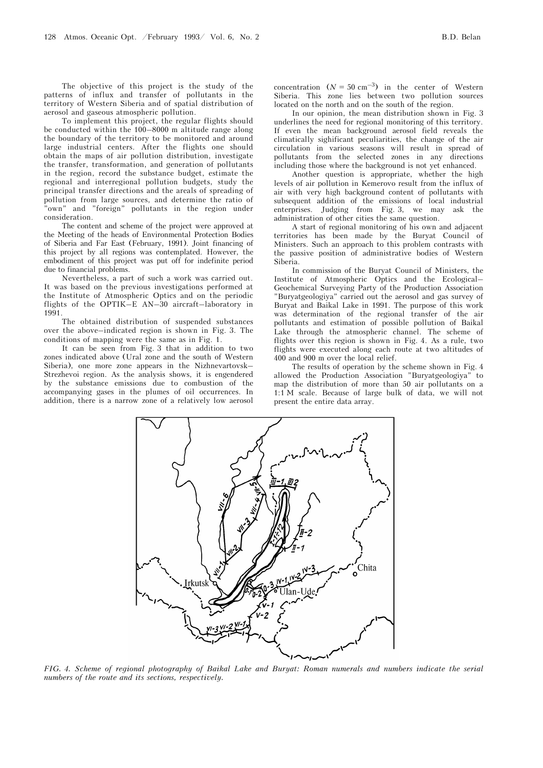The objective of this project is the study of the patterns of influx and transfer of pollutants in the territory of Western Siberia and of spatial distribution of aerosol and gaseous atmospheric pollution.

To implement this project, the regular flights should be conducted within the 100–8000 m altitude range along the boundary of the territory to be monitored and around large industrial centers. After the flights one should obtain the maps of air pollution distribution, investigate the transfer, transformation, and generation of pollutants in the region, record the substance budget, estimate the regional and interregional pollution budgets, study the principal transfer directions and the areals of spreading of pollution from large sources, and determine the ratio of "own" and "foreign" pollutants in the region under consideration.

The content and scheme of the project were approved at the Meeting of the heads of Environmental Protection Bodies of Siberia and Far East (February, 1991). Joint financing of this project by all regions was contemplated. However, the embodiment of this project was put off for indefinite period due to financial problems.

Nevertheless, a part of such a work was carried out. It was based on the previous investigations performed at the Institute of Atmospheric Optics and on the periodic flights of the OPTIK–E AN–30 aircraft–laboratory in 1991.

The obtained distribution of suspended substances over the above–indicated region is shown in Fig. 3. The conditions of mapping were the same as in Fig. 1.

It can be seen from Fig. 3 that in addition to two zones indicated above (Ural zone and the south of Western Siberia), one more zone appears in the Nizhnevartovsk– Strezhevoi region. As the analysis shows, it is engendered by the substance emissions due to combustion of the accompanying gases in the plumes of oil occurrences. In addition, there is a narrow zone of a relatively low aerosol concentration  $(N = 50 \text{ cm}^{-3})$  in the center of Western Siberia. This zone lies between two pollution sources located on the north and on the south of the region.

In our opinion, the mean distribution shown in Fig. 3 underlines the need for regional monitoring of this territory. If even the mean background aerosol field reveals the climatically sighificant peculiarities, the change of the air circulation in various seasons will result in spread of pollutants from the selected zones in any directions including those where the background is not yet enhanced.

Another question is appropriate, whether the high levels of air pollution in Kemerovo result from the influx of air with very high background content of pollutants with subsequent addition of the emissions of local industrial enterprises. Judging from Fig. 3, we may ask the administration of other cities the same question.

A start of regional monitoring of his own and adjacent territories has been made by the Buryat Council of Ministers. Such an approach to this problem contrasts with the passive position of administrative bodies of Western Siberia.

In commission of the Buryat Council of Ministers, the Institute of Atmospheric Optics and the Ecological– Geochemical Surveying Party of the Production Association "Buryatgeologiya" carried out the aerosol and gas survey of Buryat and Baikal Lake in 1991. The purpose of this work was determination of the regional transfer of the air pollutants and estimation of possible pollution of Baikal Lake through the atmospheric channel. The scheme of flights over this region is shown in Fig. 4. As a rule, two flights were executed along each route at two altitudes of 400 and 900 m over the local relief.

The results of operation by the scheme shown in Fig. 4 allowed the Production Association "Buryatgeologiya" to map the distribution of more than 50 air pollutants on a 1:1 M scale. Because of large bulk of data, we will not present the entire data array.

Chita

*FIG. 4. Scheme of regional photography of Baikal Lake and Buryat: Roman numerals and numbers indicate the serial numbers of the route and its sections, respectively.*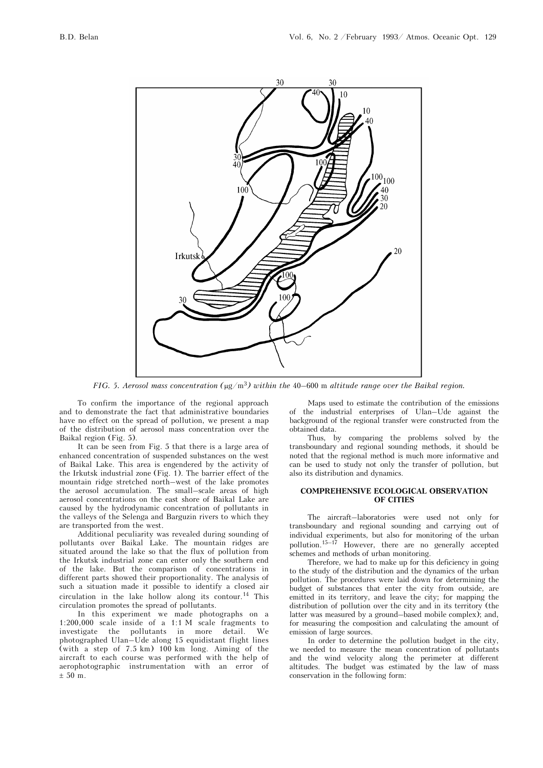

*FIG. 5. Aerosol mass concentration (*μg/m3*) within the* 40–600 m *altitude range over the Baikal region.* 

To confirm the importance of the regional approach and to demonstrate the fact that administrative boundaries have no effect on the spread of pollution, we present a map of the distribution of aerosol mass concentration over the Baikal region (Fig. 5).

It can be seen from Fig. 5 that there is a large area of enhanced concentration of suspended substances on the west of Baikal Lake. This area is engendered by the activity of the Irkutsk industrial zone (Fig. 1). The barrier effect of the mountain ridge stretched north–west of the lake promotes the aerosol accumulation. The small–scale areas of high aerosol concentrations on the east shore of Baikal Lake are caused by the hydrodynamic concentration of pollutants in the valleys of the Selenga and Barguzin rivers to which they are transported from the west.

Additional peculiarity was revealed during sounding of pollutants over Baikal Lake. The mountain ridges are situated around the lake so that the flux of pollution from the Irkutsk industrial zone can enter only the southern end of the lake. But the comparison of concentrations in different parts showed their proportionality. The analysis of such a situation made it possible to identify a closed air circulation in the lake hollow along its contour.<sup>14</sup> This circulation promotes the spread of pollutants.

In this experiment we made photographs on a 1:200,000 scale inside of a 1:1 M scale fragments to investigate the pollutants in more detail. We photographed Ulan–Ude along 15 equidistant flight lines (with a step of 7.5 km) 100 km long. Aiming of the aircraft to each course was performed with the help of aerophotographic instrumentation with an error of  $± 50$  m.

Maps used to estimate the contribution of the emissions of the industrial enterprises of Ulan–Ude against the background of the regional transfer were constructed from the obtained data.

Thus, by comparing the problems solved by the transboundary and regional sounding methods, it should be noted that the regional method is much more informative and can be used to study not only the transfer of pollution, but also its distribution and dynamics.

#### **COMPREHENSIVE ECOLOGICAL OBSERVATION OF CITIES**

The aircraft–laboratories were used not only for transboundary and regional sounding and carrying out of individual experiments, but also for monitoring of the urban pollution.15–17 However, there are no generally accepted schemes and methods of urban monitoring.

Therefore, we had to make up for this deficiency in going to the study of the distribution and the dynamics of the urban pollution. The procedures were laid down for determining the budget of substances that enter the city from outside, are emitted in its territory, and leave the city; for mapping the distribution of pollution over the city and in its territory (the latter was measured by a ground–based mobile complex); and, for measuring the composition and calculating the amount of emission of large sources.

In order to determine the pollution budget in the city, we needed to measure the mean concentration of pollutants and the wind velocity along the perimeter at different altitudes. The budget was estimated by the law of mass conservation in the following form: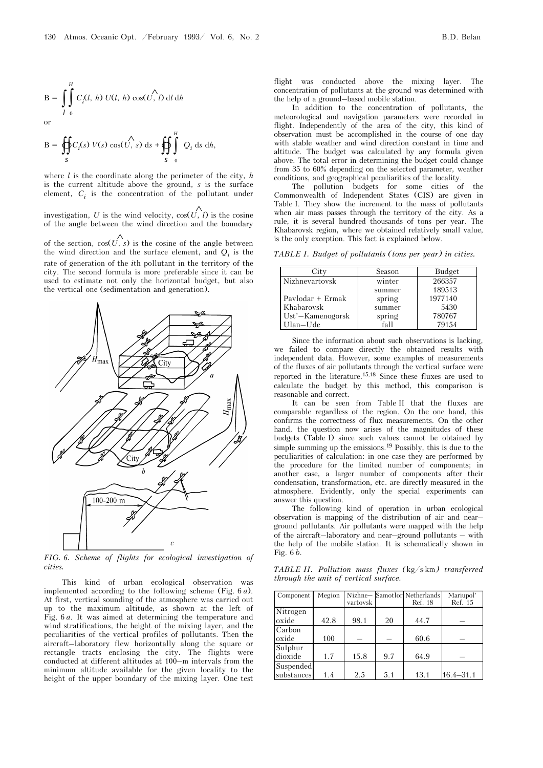$$
B = \int_{l}^{H} C_i(l, h) U(l, h) \cos(\overrightarrow{U}, l) dl dh
$$
  
or

$$
B = \oiint_{S} C_i(s) V(s) \cos(\overrightarrow{U}, s) ds + \oiint_{S} \int_{0}^{H} Q_i ds dh,
$$

where *l* is the coordinate along the perimeter of the city, *h* is the current altitude above the ground, *s* is the surface element,  $C_i$  is the concentration of the pollutant under

investigation, *U* is the wind velocity,  $cos(U, l)$  is the cosine of the angle between the wind direction and the boundary

of the section,  $cos(U, s)$  is the cosine of the angle between the wind direction and the surface element, and  $Q_i$  is the rate of generation of the *i*th pollutant in the territory of the city. The second formula is more preferable since it can be used to estimate not only the horizontal budget, but also the vertical one (sedimentation and generation).



*FIG. 6. Scheme of flights for ecological investigation of cities.* 

This kind of urban ecological observation was implemented according to the following scheme (Fig. 6 *a*). At first, vertical sounding of the atmosphere was carried out up to the maximum altitude, as shown at the left of Fig. 6 *a*. It was aimed at determining the temperature and wind stratifications, the height of the mixing layer, and the peculiarities of the vertical profiles of pollutants. Then the aircraft–laboratory flew horizontally along the square or rectangle tracts enclosing the city. The flights were conducted at different altitudes at 100–m intervals from the minimum altitude available for the given locality to the height of the upper boundary of the mixing layer. One test

flight was conducted above the mixing layer. The concentration of pollutants at the ground was determined with the help of a ground–based mobile station.

In addition to the concentration of pollutants, the meteorological and navigation parameters were recorded in flight. Independently of the area of the city, this kind of observation must be accomplished in the course of one day with stable weather and wind direction constant in time and altitude. The budget was calculated by any formula given above. The total error in determining the budget could change from 35 to 60% depending on the selected parameter, weather conditions, and geographical peculiarities of the locality.

The pollution budgets for some cities of the Commonwealth of Independent States (CIS) are given in Table I. They show the increment to the mass of pollutants when air mass passes through the territory of the city. As a rule, it is several hundred thousands of tons per year. The Khabarovsk region, where we obtained relatively small value, is the only exception. This fact is explained below.

*TABLE I. Budget of pollutants (tons per year) in cities.* 

| City                | Season | Budget  |
|---------------------|--------|---------|
| Nizhnevartovsk      | winter | 266357  |
|                     | summer | 189513  |
| Paylodar + Ermak    | spring | 1977140 |
| Khabarovsk          | summer | 5430    |
| $Ust'$ -Kamenogorsk | spring | 780767  |
| Ulan-Ude            | fall   | 79154   |

Since the information about such observations is lacking, we failed to compare directly the obtained results with independent data. However, some examples of measurements of the fluxes of air pollutants through the vertical surface were reported in the literature.15,18 Since these fluxes are used to calculate the budget by this method, this comparison is reasonable and correct.

It can be seen from Table II that the fluxes are comparable regardless of the region. On the one hand, this confirms the correctness of flux measurements. On the other hand, the question now arises of the magnitudes of these budgets (Table I) since such values cannot be obtained by simple summing up the emissions.19 Possibly, this is due to the peculiarities of calculation: in one case they are performed by the procedure for the limited number of components; in another case, a larger number of components after their condensation, transformation, etc. are directly measured in the atmosphere. Evidently, only the special experiments can answer this question.

The following kind of operation in urban ecological observation is mapping of the distribution of air and near– ground pollutants. Air pollutants were mapped with the help of the aircraft–laboratory and near–ground pollutants – with the help of the mobile station. It is schematically shown in Fig. 6 *b*.

*TABLE II. Pollution mass fluxes (*kg/s⋅km*) transferred through the unit of vertical surface.* 

| Component               | Megion | vartovsk |     | Nizhne-Samotlor Netherlands<br>Ref. 18 | Mariupol'<br>Ref. 15 |
|-------------------------|--------|----------|-----|----------------------------------------|----------------------|
| Nitrogen<br>oxide       | 42.8   | 98.1     | 20  | 44.7                                   |                      |
| Carbon<br>oxide         | 100    |          |     | 60.6                                   |                      |
| Sulphur<br>dioxide      | 1.7    | 15.8     | 9.7 | 64.9                                   |                      |
| Suspended<br>substances | 1.4    | 2.5      | 5.1 | 13.1                                   | $16.4 - 31.1$        |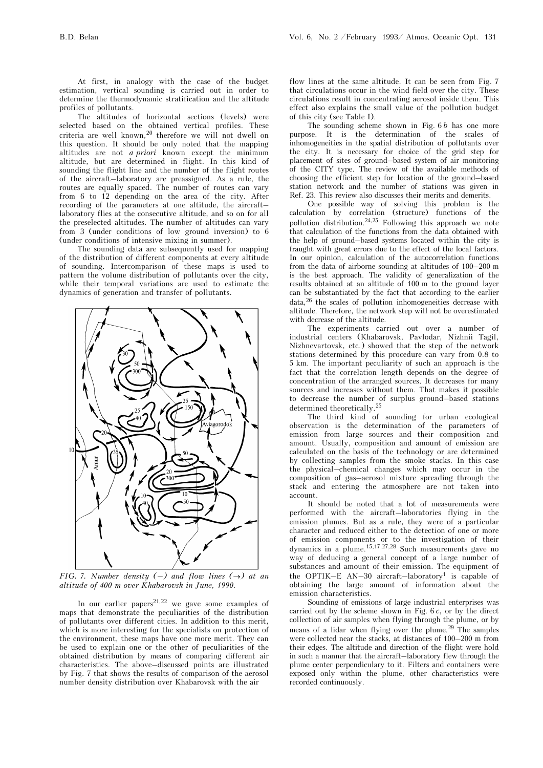At first, in analogy with the case of the budget estimation, vertical sounding is carried out in order to determine the thermodynamic stratification and the altitude profiles of pollutants.

The altitudes of horizontal sections (levels) were selected based on the obtained vertical profiles. These criteria are well known,<sup>20</sup> therefore we will not dwell on this question. It should be only noted that the mapping altitudes are not *a priori* known except the minimum altitude, but are determined in flight. In this kind of sounding the flight line and the number of the flight routes of the aircraft–laboratory are preassigned. As a rule, the routes are equally spaced. The number of routes can vary from 6 to 12 depending on the area of the city. After recording of the parameters at one altitude, the aircraft– laboratory flies at the consecutive altitude, and so on for all the preselected altitudes. The number of altitudes can vary from 3 (under conditions of low ground inversion) to 6 (under conditions of intensive mixing in summer).

The sounding data are subsequently used for mapping of the distribution of different components at every altitude of sounding. Intercomparison of these maps is used to pattern the volume distribution of pollutants over the city, while their temporal variations are used to estimate the dynamics of generation and transfer of pollutants.



*FIG. 7. Number density (–) and flow lines (* $\rightarrow$ *) at an altitude of 400 m over Khabarovsk in June, 1990.* 

In our earlier papers<sup>21,22</sup> we gave some examples of maps that demonstrate the peculiarities of the distribution of pollutants over different cities. In addition to this merit, which is more interesting for the specialists on protection of the environment, these maps have one more merit. They can be used to explain one or the other of peculiarities of the obtained distribution by means of comparing different air characteristics. The above–discussed points are illustrated by Fig. 7 that shows the results of comparison of the aerosol number density distribution over Khabarovsk with the air

flow lines at the same altitude. It can be seen from Fig. 7 that circulations occur in the wind field over the city. These circulations result in concentrating aerosol inside them. This effect also explains the small value of the pollution budget of this city (see Table I).

The sounding scheme shown in Fig. 6 *b* has one more purpose. It is the determination of the scales of inhomogeneities in the spatial distribution of pollutants over the city. It is necessary for choice of the grid step for placement of sites of ground–based system of air monitoring of the CITY type. The review of the available methods of choosing the efficient step for location of the ground–based station network and the number of stations was given in Ref. 23. This review also discusses their merits and demerits.

One possible way of solving this problem is the calculation by correlation (structure) functions of the pollution distribution.24,25 Following this approach we note that calculation of the functions from the data obtained with the help of ground–based systems located within the city is fraught with great errors due to the effect of the local factors. In our opinion, calculation of the autocorrelation functions from the data of airborne sounding at altitudes of 100–200 m is the best approach. The validity of generalization of the results obtained at an altitude of 100 m to the ground layer can be substantiated by the fact that according to the earlier data,26 the scales of pollution inhomogeneities decrease with altitude. Therefore, the network step will not be overestimated with decrease of the altitude.

The experiments carried out over a number of industrial centers (Khabarovsk, Pavlodar, Nizhnii Tagil, Nizhnevartovsk, etc.) showed that the step of the network stations determined by this procedure can vary from 0.8 to 5 km. The important peculiarity of such an approach is the fact that the correlation length depends on the degree of concentration of the arranged sources. It decreases for many sources and increases without them. That makes it possible to decrease the number of surplus ground–based stations determined theoretically.  $^{25}$ 

The third kind of sounding for urban ecological observation is the determination of the parameters of emission from large sources and their composition and amount. Usually, composition and amount of emission are calculated on the basis of the technology or are determined by collecting samples from the smoke stacks. In this case the physical–chemical changes which may occur in the composition of gas–aerosol mixture spreading through the stack and entering the atmosphere are not taken into account.

It should be noted that a lot of measurements were performed with the aircraft–laboratories flying in the emission plumes. But as a rule, they were of a particular character and reduced either to the detection of one or more of emission components or to the investigation of their dynamics in a plume.15,17,27,28 Such measurements gave no way of deducing a general concept of a large number of substances and amount of their emission. The equipment of the OPTIK–E AN–30 aircraft–laboratory<sup>1</sup> is capable of obtaining the large amount of information about the emission characteristics.

Sounding of emissions of large industrial enterprises was carried out by the scheme shown in Fig. 6 *c*, or by the direct collection of air samples when flying through the plume, or by means of a lidar when flying over the plume.<sup>29</sup> The samples were collected near the stacks, at distances of 100–200 m from their edges. The altitude and direction of the flight were hold in such a manner that the aircraft–laboratory flew through the plume center perpendiculary to it. Filters and containers were exposed only within the plume, other characteristics were recorded continuously.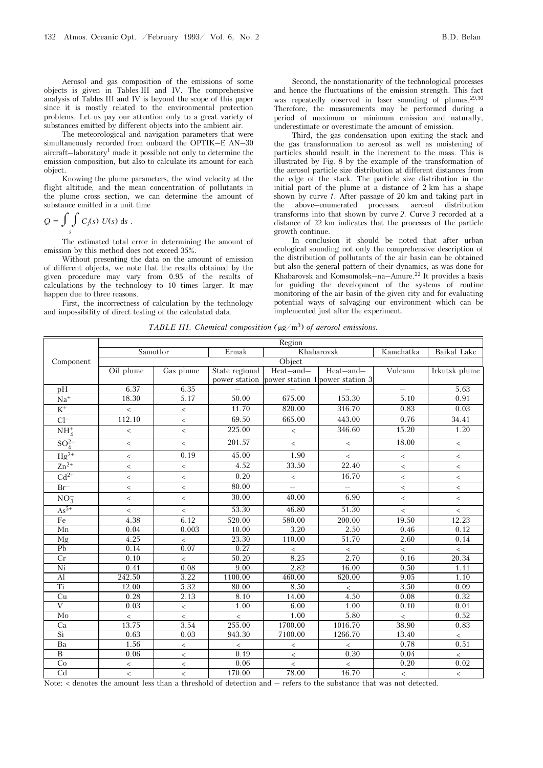Aerosol and gas composition of the emissions of some objects is given in Tables III and IV. The comprehensive analysis of Tables III and IV is beyond the scope of this paper since it is mostly related to the environmental protection problems. Let us pay our attention only to a great variety of substances emitted by different objects into the ambient air.

The meteorological and navigation parameters that were simultaneously recorded from onboard the OPTIK–E AN–30 aircraft–laboratory<sup>1</sup> made it possible not only to determine the emission composition, but also to calculate its amount for each object.

Knowing the plume parameters, the wind velocity at the flight altitude, and the mean concentration of pollutants in the plume cross section, we can determine the amount of substance emitted in a unit time

$$
Q = \int\limits_{S} \int\limits_{S} C_i(s) \ U(s) \ \mathrm{d}s \ .
$$

The estimated total error in determining the amount of emission by this method does not exceed 35%.

Without presenting the data on the amount of emission of different objects, we note that the results obtained by the given procedure may vary from 0.95 of the results of calculations by the technology to 10 times larger. It may happen due to three reasons.

First, the incorrectness of calculation by the technology and impossibility of direct testing of the calculated data.

Second, the nonstationarity of the technological processes and hence the fluctuations of the emission strength. This fact was repeatedly observed in laser sounding of plumes.<sup>29,30</sup> Therefore, the measurements may be performed during a period of maximum or minimum emission and naturally, underestimate or overestimate the amount of emission.

Third, the gas condensation upon exiting the stack and the gas transformation to aerosol as well as moistening of particles should result in the increment to the mass. This is illustrated by Fig. 8 by the example of the transformation of the aerosol particle size distribution at different distances from the edge of the stack. The particle size distribution in the initial part of the plume at a distance of 2 km has a shape shown by curve *1*. After passage of 20 km and taking part in the above–enumerated processes, aerosol distribution transforms into that shown by curve *2*. Curve *3* recorded at a distance of 22 km indicates that the processes of the particle growth continue.

In conclusion it should be noted that after urban ecological sounding not only the comprehensive description of the distribution of pollutants of the air basin can be obtained but also the general pattern of their dynamics, as was done for Khabarovsk and Komsomolsk–na–Amure.<sup>22</sup> It provides a basis for guiding the development of the systems of routine monitoring of the air basin of the given city and for evaluating potential ways of salvaging our environment which can be implemented just after the experiment.

*TABLE III. Chemical composition (*μg/m3) *of aerosol emissions.* 

|                        | Region    |                                 |                |                |                                               |                          |               |
|------------------------|-----------|---------------------------------|----------------|----------------|-----------------------------------------------|--------------------------|---------------|
|                        |           | Samotlor<br>Khabarovsk<br>Ermak |                | Kamchatka      | Baikal Lake                                   |                          |               |
| Component              | Object    |                                 |                |                |                                               |                          |               |
|                        | Oil plume | Gas plume                       | State regional | Heat-and-      | Heat-and-                                     | Volcano                  | Irkutsk plume |
|                        |           |                                 |                |                | power station power station 1 power station 3 |                          |               |
| pH                     | 6.37      | 6.35                            |                |                |                                               |                          | 5.63          |
| $\rm Na^+$             | 18.30     | 5.17                            | 50.00          | 675.00         | 153.30                                        | 5.10                     | 0.91          |
| $\rm K^+$              | $\,<$     | $\,<\,$                         | 11.70          | 820.00         | 316.70                                        | 0.83                     | 0.03          |
| $Cl^-$                 | 112.10    | $\overline{\phantom{a}}$        | 69.50          | 665.00         | 443.00                                        | 0.76                     | 34.41         |
| $NH4+$                 | $\,<$     | $\,<\,$                         | 225.00         | $\,<$          | 346.60                                        | 15.20                    | 1.20          |
| $SO_4^{2-}$            | $\,<$     | $\,<$                           | 201.57         | $\,<$          | $\,<$                                         | 18.00                    | $\,<$         |
| $Hg^{2+}$              | $\,<$     | 0.19                            | 45.00          | 1.90           | $\,<$                                         | $\,<$                    | $\,<$         |
| $Zn^{2+}$              | $\,<$     | $\,<$                           | 4.52           | 33.50          | 22.40                                         | $\,<$                    | $\,<$         |
| $Cd^{2+}$              | $\,<$     | $\,<\,$                         | 0.20           | $\,<$          | 16.70                                         | $\,<$                    | $\,<$         |
| $Br^-$                 | $\,<$     | $\overline{\phantom{a}}$        | 80.00          | $\overline{a}$ |                                               | $\overline{\phantom{a}}$ | $\,<$         |
| $\mathrm{NO_3^-}$      | $\,<$     | $\,<$                           | 30.00          | 40.00          | 6.90                                          | $\overline{\phantom{a}}$ | $\,<$         |
| $As^{5+}$              | $\,<$     | $\overline{\phantom{a}}$        | 53.30          | 46.80          | 51.30                                         | $\,<$                    | $\,<$         |
| $\rm Fe$               | 4.38      | 6.12                            | 520.00         | 580.00         | 200.00                                        | 19.50                    | 12.23         |
| Mn                     | 0.04      | 0.003                           | 10.00          | 3.20           | 2.50                                          | 0.46                     | 0.12          |
| Mg                     | 4.25      | $\,<$                           | 23.30          | 110.00         | 51.70                                         | 2.60                     | 0.14          |
| P <sub>b</sub>         | 0.14      | 0.07                            | 0.27           | $\,<$          | $\,<$                                         | $\,<$                    | $\,<$         |
| Cr                     | 0.10      | $\,<$                           | 50.20          | 8.25           | 2.70                                          | 0.16                     | 20.34         |
| Ni                     | 0.41      | 0.08                            | 9.00           | 2.82           | 16.00                                         | 0.50                     | 1.11          |
| $\overline{Al}$        | 242.50    | 3.22                            | 1100.00        | 460.00         | 620.00                                        | 9.05                     | 1.10          |
| Ti                     | 12.00     | 5.32                            | 80.00          | 8.50           | $\,<\,$                                       | 3.50                     | 0.09          |
| Cu                     | 0.28      | 2.13                            | 8.10           | 14.00          | 4.50                                          | 0.08                     | 0.32          |
| $\rm V$                | 0.03      | $\,<$                           | 1.00           | 6.00           | 1.00                                          | 0.10                     | 0.01          |
| Mo                     | $\,<\,$   | $\,<$                           | $\,<$          | 1.00           | 5.80                                          | $\,<$                    | 0.52          |
| Ca                     | 13.75     | 3.54                            | 255.00         | 1700.00        | 1016.70                                       | 38.90                    | 0.83          |
| Si                     | 0.63      | 0.03                            | 943.30         | 7100.00        | 1266.70                                       | 13.40                    | $\,<$         |
| Ba                     | 1.56      | $\,<$                           | $\,<\,$        | $\,<$          | $\,<\,$                                       | 0.78                     | 0.51          |
| $\overline{B}$         | 0.06      | $\,<$                           | 0.19           | $\,<$          | 0.30                                          | 0.04                     | $\,<\,$       |
| Co                     | $\,<$     | $\overline{\phantom{a}}$        | 0.06           | $\lt$          | $\,<$                                         | 0.20                     | 0.02          |
| $\overline{\text{Cd}}$ | $\,<$     | $\,<$                           | 170.00         | 78.00          | 16.70                                         | $\,<$                    | $\,<$         |

Note: < denotes the amount less than a threshold of detection and – refers to the substance that was not detected.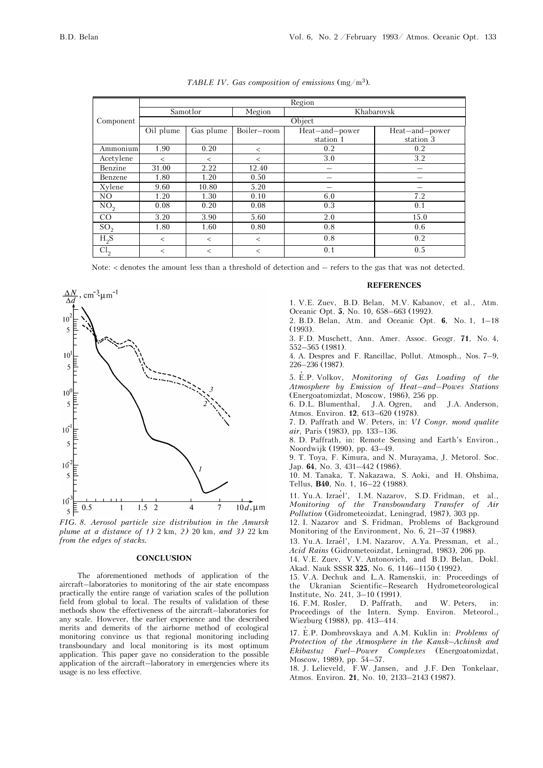|                 | Region    |           |             |                |                |  |
|-----------------|-----------|-----------|-------------|----------------|----------------|--|
|                 | Samotlor  |           | Megion      | Khabarovsk     |                |  |
| Component       | Object    |           |             |                |                |  |
|                 | Oil plume | Gas plume | Boiler-room | Heat-and-power | Heat-and-power |  |
|                 |           |           |             | station 1      | station 3      |  |
| Ammonium        | 1.90      | 0.20      | $\,<\,$     | 0.2            | 0.2            |  |
| Acetylene       | $\,<\,$   | $\,<\,$   | $\,<\,$     | 3.0            | 3.2            |  |
| Benzine         | 31.00     | 2.22      | 12.40       | -              |                |  |
| Benzene         | 1.80      | 1.20      | 0.50        |                |                |  |
| Xylene          | 9.60      | 10.80     | 5.20        |                |                |  |
| NO.             | 1.20      | 1.30      | 0.10        | 6.0            | 7.2            |  |
| NO <sub>2</sub> | 0.08      | 0.20      | 0.08        | 0.3            | 0.1            |  |
| CO              | 3.20      | 3.90      | 5.60        | 2.0            | 15.0           |  |
| SO <sub>2</sub> | 1.80      | 1.60      | 0.80        | 0.8            | 0.6            |  |
| $H_2S$          | $\,<$     | $\,<\,$   | $\lt$       | 0.8            | 0.2            |  |
| Cl <sub>2</sub> | $\,<\,$   | $\,<\,$   | $\,<\,$     | 0.1            | 0.5            |  |

*TABLE IV. Gas composition of emissions* (mg/m3)*.* 

Note: < denotes the amount less than a threshold of detection and – refers to the gas that was not detected.





#### **CONCLUSION**

The aforementioned methods of application of the aircraft–laboratories to monitoring of the air state encompass practically the entire range of variation scales of the pollution field from global to local. The results of validation of these methods show the effectiveness of the aircraft–laboratories for any scale. However, the earlier experience and the described merits and demerits of the airborne method of ecological monitoring convince us that regional monitoring including transboundary and local monitoring is its most optimum application. This paper gave no consideration to the possible application of the aircraft–laboratory in emergencies where its usage is no less effective.

## **REFERENCES**

1. V.E. Zuev, B.D. Belan, M.V. Kabanov, et al., Atm. Oceanic Opt. **5**, No. 10, 658–663 (1992).

2. B.D. Belan, Atm. and Oceanic Opt. **6**, No. 1, 1–18 (1993).

3. F.D. Muschett, Ann. Amer. Assoc. Geogr. **71**, No. 4, 552–565 (1981).

4. A. Despres and F. Rancillac, Pollut. Atmosph., Nos. 7–9, 226–236 (1987).

5. E′ .P. Volkov, *Monitoring of Gas Loading of the Atmosphere by Emission of Heat–and–Powes Stations*  (Energoatomizdat, Moscow, 1986), 256 pp.

6. D.L. Blumenthal, J.A. Ogren, and J.A. Anderson, Atmos. Environ. **12**, 613–620 (1978).

7. D. Paffrath and W. Peters, in: *VI Congr. mond qualite air*, Paris (1983), pp. 133–136.

8. D. Paffrath, in: Remote Sensing and Earth's Environ., Noordwijk (1990), pp. 43–49.

9. T. Toya, F. Kimura, and N. Murayama, J. Metorol. Soc. Jap. **64**, No. 3, 431–442 (1986).

10. M. Tanaka, T. Nakazawa, S. Aoki, and H. Ohshima, Tellus, **B40**, No. 1, 16–22 (1988).

11. Yu.A. Izrae'l', I.M. Nazarov, S.D. Fridman, et al., *Monitoring of the Transboundary Transfer of Air Pollution* (Gidrometeoizdat, Leningrad, 1987), 303 pp.

12. I. Nazarov and S. Fridman, Problems of Background Monitoring of the Environment, No. 6, 21–37 (1988).

13. Yu.A. Izrae'l', I.M. Nazarov, A.Ya. Pressman, et al., *Acid Rains* (Gidrometeoizdat, Leningrad, 1983), 206 pp.

14. V.E. Zuev, V.V. Antonovich, and B.D. Belan, Dokl. Akad. Nauk SSSR **325**, No. 6, 1146–1150 (1992).

15. V.A. Dechuk and L.A. Ramenskii, in: Proceedings of the Ukranian Scientific–Research Hydrometeorological Institute, No. 241, 3–10 (1991).

16. F.M. Rosler, D. Paffrath, and W. Peters, in: Proceedings of the Intern. Symp. Environ. Meteorol., Wiezburg (1988), pp. 413–414.

17. E.P. Dombrovskaya and A.M. Kuklin in: Problems of *Protection of the Atmosphere in the Kansk–Achinsk and Ekibastuz Fuel–Power Complexes* (Energoatomizdat, Moscow, 1989), pp. 54–57.

18. J. Lelieveld, F.W. Jansen, and J.F. Den Tonkelaar, Atmos. Environ*.* **21**, No. 10, 2133–2143 (1987).